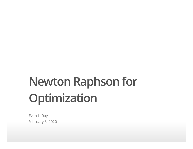# **Newton Raphson for Optimization**

Evan L. Ray February 3, 2020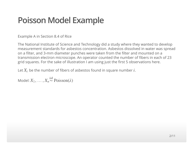# **Poisson Model Example**

Example A in Section 8.4 of Rice

The National Institute of Science and Technology did a study where they wanted to develop measurement standards for asbestos concentration. Asbestos dissolved in water was spread on a filter, and 3-mm diameter punches were taken from the filter and mounted on a transmission electron microscope. An operator counted the number of fibers in each of 23 grid squares. For the sake of illustration I am using just the first 5 observations here.

Let  $X_i$  be the number of fibers of asbestos found in square number  $i$ .

Model:  $X_1, \ldots, X_n \stackrel{\text{iid}}{\sim} \text{Poisson}(\lambda)$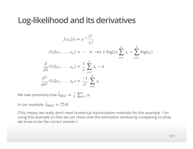### **Log-likelihood and its derivatives**

$$
f(x_i|\lambda) = e^{-\lambda} \frac{\lambda^{x_i}}{x_i!}
$$
  
\n
$$
\ell(\lambda|x_1, ..., x_n) = \dots = -n\lambda + \log(\lambda) \sum_{i=1}^n x_i - \sum_{i=1}^n \log(x_i)
$$
  
\n
$$
\frac{d}{d\lambda} \ell(\lambda|x_1, ..., x_n) = \frac{1}{\lambda} \sum_{i=1}^n x_i - n
$$
  
\n
$$
\frac{d^2}{d\lambda^2} \ell(\lambda|x_1, ..., x_n) = \frac{-1}{\lambda^2} \sum_{i=1}^n x_i
$$

We saw previously that  $\hat{\lambda}_{MI}$  $LE = \frac{1}{n} \sum_{i=1}^{n} x_i$ 

In our example,  $\hat{\lambda}_{MI}$  $_{LE} = 25.6$ 

(This means we really don't need numerical maximization methods for this example – I'm using this example so that we can check that the estimation worked by comparing to what we know to be the correct answer.)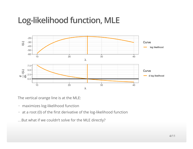# **Log-likelihood function, MLE**



The vertical orange line is at the MLE:

- maximizes log-likelihood function **·**
- at a root (0) of the first derivative of the log-likelihood function **·**

…But what if we couldn't solve for the MLE directly?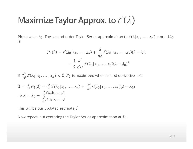# **Maximize Taylor Approx. to**  $\ell(\lambda)$

Pick a value  $\lambda_0$ . The second-order Taylor Series approximation to  $\ell(\lambda|x_1,\ldots,x_n)$  around  $\lambda_0$ is

$$
P_2(\lambda) = \ell(\lambda_0 | x_1, \dots, x_n) + \frac{d}{d\lambda} \ell(\lambda_0 | x_1, \dots, x_n) (\lambda - \lambda_0)
$$

$$
+ \frac{1}{2} \frac{d^2}{d\lambda^2} \ell(\lambda_0 | x_1, \dots, x_n) (\lambda - \lambda_0)^2
$$

If  $\frac{d^2}{dt^2} \mathcal{C}(\lambda_0 | x_1, \dots, x_n) < 0$ ,  $P_2$  is maximized when its first derivative is 0:  $\frac{d^2}{d\lambda^2} \ell(\lambda_0 | x_1, \ldots, x_n) < 0, P_2$ 

$$
0 = \frac{d}{d\lambda} P_2(\lambda) = \frac{d}{d\lambda} \ell(\lambda_0 | x_1, \dots, x_n) + \frac{d^2}{d\lambda^2} \ell(\lambda_0 | x_1, \dots, x_n) (\lambda - \lambda_0)
$$
  
\n
$$
\Rightarrow \lambda = \lambda_0 - \frac{\frac{d}{d\lambda} \ell(\lambda_0 | x_1, \dots, x_n)}{\frac{d^2}{d\lambda^2} \ell(\lambda_0 | x_1, \dots, x_n)}
$$

This will be our updated estimate,  $\lambda_1$ 

Now repeat, but centering the Taylor Series approximation at  $\lambda_1$ .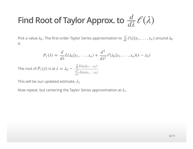#### **Find Root of Taylor Approx. to**  $\frac{d}{d\lambda}$  $\mathcal{C}(\lambda)$  $\overline{d\lambda}$

Pick a value  $\lambda_0$ . The first-order Taylor Series approximation to  $\frac{d}{d\lambda}\ell(\lambda|x_1,\ldots,x_n)$  around . is  $\frac{d}{d\lambda}\ell(\lambda|x_1,\ldots,x_n)$  around  $\lambda_0$ 

$$
P_1(\lambda) = \frac{d}{d\lambda} L(\lambda_0 | x_1, \dots, x_n) + \frac{d^2}{d\lambda^2} \mathcal{C}(\lambda_0 | x_1, \dots, x_n) (\lambda - \lambda_0)
$$

The root of  $P_1(\lambda)$  is at  $\lambda = \lambda_0 - \frac{\frac{d}{d\lambda}L(\lambda_0|x_1,...,x_n)}{\frac{d^2}{d\lambda}L(\lambda_0|x_1,...,x_n)}$  $\frac{d}{d\lambda} L(\lambda_0 | x_1, \ldots, x_n)$  $\frac{d^2}{dx^2} L(\lambda_0 | x_1, \ldots, x_n)$  $\frac{d^2}{d\lambda^2} L(\lambda_0 | x_1, \ldots, x_n]$ 

This will be our updated estimate,  $\lambda_1$ 

Now repeat, but centering the Taylor Series approximation at  $\lambda_1$ .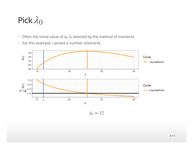# Pick  $\lambda_0$

- **·** Often the initial value of  $\lambda_0$  is selected by the method of moments
- For this example, I picked a number arbitrarily **·**



 $\lambda_0 = 12$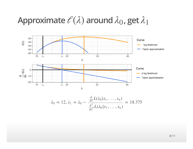# **Approximate**  $\mathcal{C}(\lambda)$  around  $\lambda_0$ , get  $\lambda_1$



$$
\lambda_0 = 12, \lambda_1 = \lambda_0 - \frac{\frac{d}{d\lambda}L(\lambda_0 | x_1, \dots, x_n)}{\frac{d^2}{d\lambda^2}L(\lambda_0 | x_1, \dots, x_n)} = 18.375
$$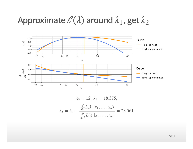# **Approximate**  $\mathcal{C}(\lambda)$  around  $\lambda_1$ , get  $\lambda_2$



$$
\lambda_0 = 12, \ \lambda_1 = 18.375,
$$

$$
\lambda_2 = \lambda_1 - \frac{\frac{d}{d\lambda}L(\lambda_1 | x_1, \dots, x_n)}{\frac{d^2}{d\lambda^2}L(\lambda_1 | x_1, \dots, x_n)} = 23.561
$$

9/11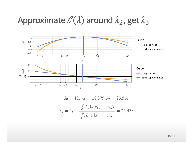# **Approximate**  $\mathcal{C}(\lambda)$  around  $\lambda_2$ , get  $\lambda_3$



$$
\lambda_0 = 12, \ \lambda_1 = 18.375, \lambda_2 = 23.561
$$
\n
$$
\lambda_3 = \lambda_2 - \frac{\frac{d}{d\lambda}L(\lambda_2 | x_1, \dots, x_n)}{\frac{d^2}{d\lambda^2}L(\lambda_2 | x_1, \dots, x_n)} = 25.438
$$

10/11